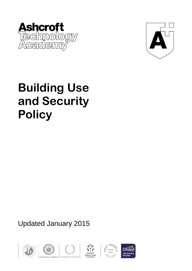



# **Building Use and Security Policy**

Updated January 2015









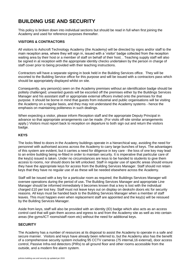# **BUILDING USE AND SECURITY**

This policy is broken down into individual sections but should be read in full when first joining the Academy and used for reference purposes thereafter.

# **VISITORS & CONTRACTORS**

All visitors to Ashcroft Technology Academy (the Academy) will be directed by signs and/or staff to the main reception area, where they will sign in, issued with a 'visitor' badge collected from the reception waiting area by their host or a member of staff on behalf of their host. . Teaching supply staff will also be signed in at reception with the appropriate identity checks undertaken by the person in charge of staff cover prior to being provided with their teaching instructions.

Contractors will have a separate signing in book held in the Building Services office. They will be escorted to the Building Service office for this purpose and will be issued with a contractors pass which should be appropriately displayed whilst on site.

Consequently, any person(s) seen on the Academy premises without an identification badge should be politely challenged; unwanted guests will be escorted off the premises either by the Buildings Services Manager and his assistant staff or appropriate external officers invited onto the premises for that purpose. It should be borne in mind that guests from industrial and public organisations will be visiting the Academy on a regular basis, and they may not understand the Academy systems - hence the emphasis on maintaining politeness in such dealings.

When expecting a visitor, please inform Reception staff and the appropriate Deputy Principal in advance so that appropriate arrangements can be made. (For visits off-site similar arrangements apply.) Visitors must report back to reception on departure to both sign out and return the visitors badge.

# **KEYS**

The locks fitted to doors in the Academy buildings operate in a hierarchical way, avoiding the need for personnel with authorised access across the Academy to carry large bunches of keys. The advantages of this system are evident, but it carries a need for diligence in key care - the loss of one key may lead to an entire building being re-fitted in order to maintain security. It is imperative that particular care of the key(s) issued is taken. Under no circumstances are keys to be handed to students to give them access to rooms, nor should doors be left unlocked. Staff in regular use of specific areas should ensure they have the appropriate keys for access from the Building Services Manager. Staff should not retain keys that they have no regular use of as these will be needed elsewhere across the Academy.

Staff will be issued with a key for a particular room as required; the Buildings Services Manager will oversee operations during the period of use**.** The Building Services Manager and appropriate Line Manager should be informed immediately it becomes known that a key is lost with the individual charged £10 per lost key. Staff must not leave keys out on display on desks/in doors etc for security reasons. All keys must be handed back to the Building Services Manager when a member of staff leaves. This must happen even when replacement staff are appointed and the key(s) will be reissued by the Building Services Manager.

Aside from keys, staff will also be provided with an identity (ID) badge which also acts as an access control card that will gain them access and egress to and from the Academy site as well as into certain areas (the gyms/ICT rooms/staff room etc) without the need for additional keys.

# **SECURITY**

The Academy has a number of resources at its disposal to assist the Academy to operate in a safe and secure manner. Visitors and keys have already been referred to, but the Academy also has the benefit of a comprehensive security system including 95 CCTV cameras (75 internal,16 external), door access control, Passive Infra-red detectors (PIRs) to all ground floor and other rooms accessible from the outside, and a modern fire alarm system.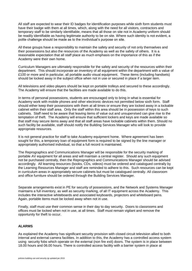All staff are expected to wear their ID badges for identification purposes while sixth form students must have their badge with them at all times, which, along with the need for all visitors, contractors and temporary staff to be similarly identifiable, means that all those on site not in Academy uniform should be readily identifiable as having legitimate authority to be on site. Where such identity is not evident, a polite challenge should be made as to the invdividual's purpose on site.

All these groups have a responsibility to maintain the safety and security of not only themselves and their possessions but also the resources of the Academy as well as the safety of others. It is a reasonable expectation that all staff place as much emphasis on the importance of this as if the Academy were their own home.

Curriculum Managers are ultimately responsible for the safety and security of the resources within their department. This should incorporate an inventory of all equipment within the department with a value of £100 or more and in particular, all portable audio visual equipment. These items (including handsets) should be locked away in the subject office when not in use or secured in place if a larger item.

All televisions and video players should be kept on portable trolleys and secured to these accordingly. The Academy will ensure that the facilities are made available to do this.

In terms of personal possessions, students are encouraged only to bring in what is essential for Academy work with mobile phones and other electronic devices not permitted below sixth form. Staff should either keep their possessions with them at all times or ensure they are locked away in a lockable cabinet within their staff area. Only the staff within this area should be in possession of keys to such cabinets. Staff need to be aware that leaving items of value out and unsupervised can give rise to the temptation of theft. The Academy will ensure that sufficient lockers and keys are made available so that staff may secure items away and that all staff areas have lockable cabinets within them. Should no such facility be available, staff should notify the Building Services Manager who will look to provide appropriate resources.

It is not general practice for staff to take Academy equipment home. Where agreement has been sought for this, a temporary loan of equipment form is required to be signed by the line manager or appropriately authorised individual, so that a full record is maintained.

The Reprographics and Communications Manager will be responsible for the security marking of portable AV equipment for all areas and will maintain a central register. Should any such equipment not be purchased centrally, then the Reprographics and Communications Manager should be advised accordingly. All learning resources (books, CDs, videos) must be ordered and catalogued centrally by the Learning Resources Manager and staff are reminded to adhere to this. Such resources can be kept in curriculum areas in appropriately secure cabinets but must be catalogued centrally. All classroom and office furniture should be ordered through the Building Services Manager.

Separate arrangements exist in PE for security of possessions, and the Network and Systems Manager maintains a full inventory, as well as security marking, of all IT equipment across the Academy. This includes the interactive whiteboards and associated keyboards, projectors and whiteboard pens. Again, portable items must be locked away when not in use.

Finally, staff must use their common sense in their day to day security. Doors to classrooms and offices must be locked when not in use, at all times. Staff must remain vigilant and remove the opportunity for theft to occur.

# **ALARMS**

As explained the Academy has significant security provision with closed circuit television allied to both internal and external camera facilities. In addition to this, the Academy has a controlled access system using security fobs which operate on the external (non fire exit) doors. The system is in place between 18.00 hours and 06.00 hours. There is controlled access facility with a barrier system in place at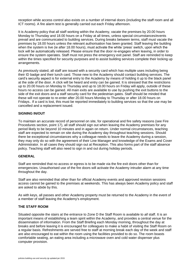reception while access control also exists on a number of internal doors (including the staff room and all ICT rooms). A fire alarm test is generally carried out each Friday afternoon.

It is Academy policy that all staff working within the Academy, vacate the premises by 20.00 hours Monday to Thursday and 18.00 hours on a Friday at all times, unless special circumstances/events prevail and are communicated to building services. During breaks between terms, staff must vacate the premises by 18.00 hours unless the relevant authorisation has been granted. Staff leaving the building when the system is live (ie after 18.00 hours), must activate the white 'press' switch, upon which the lock will be automatically released. Please ensure that the door re-engages when leaving, in order to ensure the system operates. Staff must not press the emergency exit panel. Staff are reminded to keep within the times specified for security purposes and to assist building services complete their locking up arrangements.

As previously stated, all staff are issued with a security card which has multiple uses including being their ID badge and their lunch card. Those new to the Academy should contact building services. The card's security aspect is for external entry to the Academy by means of holding it up to the black panel at the side of the door. A click will be heard and entry can be gained. It is stressed that the restrictions up to 20.00 hours on Monday to Thursday and up to 18.00 hours on Friday will apply, outside of these hours no access can be gained. All main exits are available to use by pushing the exit buttons to the side of the exit doors and a staff security card for the pedestrian gates. Staff should be minded that these will not operate to re-enter after 20.00 hours Monday to Thursday or after 18.00 hours on Fridays.. If a card is lost, this must be reported immediately to building services so that the use may be cancelled and a replacement issued.

# **SIGNING IN/OUT**

To maintain an accurate record of personnel on site, for operational and fire safety reasons (see Fire Procedures section, point 17), all staff should sign out when leaving the Academy premises for any period likely to be beyond 10 minutes and in again on return. Under normal circumstances, teaching staff are expected to remain on site during the Academy day throughout teaching sessions. Should there be exceptional circumstances why a colleague needs to leave the Academy during a session, they may only do so with the agreement of their Line Manager and knowledge of the Exams and Cover Administrator. In all cases they should sign out at Reception. This also forms part of the staff absence policy. Teaching staff will also need to sign in and out during holiday periods.

#### **GENERAL**

Staff are reminded that no access or egress is to be made via the fire exit doors other than for emergencies. Unauthorised use of the fire doors will activate the Academy intruder alarm at any time throughout the day.

Staff are also reminded that other than for official Academy events and approved revision sessions access cannot be gained to the premises at weekends. This has always been Academy policy and staff are asked to abide by this.

As with keys, all passes and other Academy property must be returned to the Academy in the event of a member of staff leaving the Academy's employment.

# **THE STAFF ROOM**

Situated opposite the stairs at the entrance to Zone D the Staff Room is available to *all* staff. It is an important means of establishing a team spirit within the Academy, and provides a central venue for the dissemination of information. From the Staff Briefing each Monday morning, throughout the day at breaks and before leaving it is encouraged for colleagues to make a habit of visiting the Staff Room on a regular basis. Refreshments are served free to staff at morning break each day of the week and staff are also encouraged to eat within the room using the facilities provided to do so. The room boasts comfortable seating, an eating area including a microwave oven and cold water dispenser plus computer provision.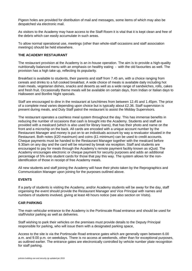Pigeon holes are provided for distribution of mail and messages, some items of which may also be despatched via electronic mail.

As visitors to the Academy may have access to the Staff Room it is vital that it is kept clean and free of the debris which can easily accumulate in such areas.

To allow normal operational use, meetings (other than whole-staff occasions and staff association meetings) should be held elsewhere.

# **THE ACADEMY RESTAURANT**

The restaurant provision at the Academy is an in-house operation. The aim is to provide a high-quality nutritionally balanced menu with an emphasis on healthy eating - with the old favourites as well. The provision has a high take up, reflecting its popularity.

Breakfast is available to students, their parents and staff from 7.45 am, with a choice ranging from cereals and drinks to a full cooked breakfast. A wide choice of meals is available daily including hot main meals, vegetarian dishes, snacks and deserts as well as a wide range of sandwiches, rolls, cakes and fresh fruit. Occasionally theme meals will be available on certain days, from Indian or Italian days to Halloween and Bonfire Night specials.

Staff are encouraged to dine in the restaurant at lunchtimes from between 12.45 and 1.45pm. The price of a complete meal varies depending upon choice but is typically about £2.36. Staff supervision is present during meals, and Duty Staff patrol the restaurant to assist the Midday Supervisors.

The restaurant operates a cashless meal system throughout the day. This has immense benefits in reducing the number of occasions that cash is brought into the Academy. Students and staff are provided with a mealcard (which is also used for library loans), that has their photo and name on the front and a microchip on the back. All cards are encoded with a unique account number by the Restaurant Manager and money is put on to an individuals account by way a revaluator situated in the Restaurant. Both notes (£20 maximum) and coins (£1 minimum) can be used to credit accounts. Cheque payments must be handed to the Restaurant Manager together with the mealcard before 9.30am on any day and the card will be returned by break via reception. Staff and students are encouraged to pay for meals through the Academy's remote payment facility known as sQuid. The Academy encourages electronic or cheque payment for security purposes and adds an additional percentage of 5% onto student cards for those that pay this way. The system allows for the nonidentification of those in receipt of free Academy meals.

All new students and staff joining the Academy will have their photo taken by the Reprographics and Communication Manager upon joining for the purposes outlined above.

# **EVENTS**

If a party of students is visiting the Academy, and/or Academy students will be away for the day, staff organising the event should provide the Restaurant Manager and Vice Principal with names and numbers of students involved, giving at least 48 hours notice (see also section on Visits).

# **CAR PARKING**

The main vehicular entrance to the Academy is the Portinscale Road entrance and should be used for staff/visitor parking as well as deliveries.

Staff wishing to park their vehicles on the premises must provide details to the Deputy Principal responsible for parking, who will issue them with a designated parking space,

Access to the site is via the Portinscale Road entrance gates which are generally open between 6.00 a.m. and 9.00 p.m. on weekdays. There is no access at weekends, other than for exceptional purposes, as outlined earlier. The entrance gates are electronically controlled by vehicle number plate recognition for staff parking.